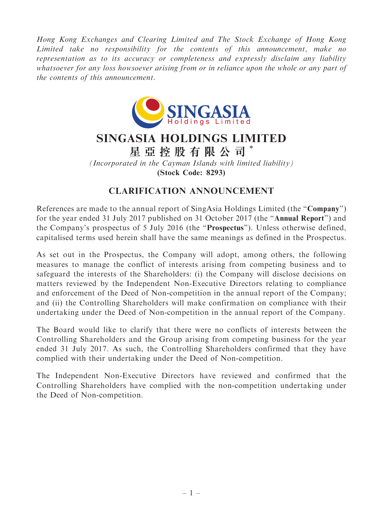Hong Kong Exchanges and Clearing Limited and The Stock Exchange of Hong Kong Limited take no responsibility for the contents of this announcement, make no representation as to its accuracy or completeness and expressly disclaim any liability whatsoever for any loss howsoever arising from or in reliance upon the whole or any part of the contents of this announcement.



## SINGASIA HOLDINGS LIMITED

星 亞 控 股 有 限 公 司 \*

(Incorporated in the Cayman Islands with limited liability) (Stock Code: 8293)

## CLARIFICATION ANNOUNCEMENT

References are made to the annual report of SingAsia Holdings Limited (the "Company") for the year ended 31 July 2017 published on 31 October 2017 (the "Annual Report") and the Company's prospectus of 5 July 2016 (the "Prospectus"). Unless otherwise defined, capitalised terms used herein shall have the same meanings as defined in the Prospectus.

As set out in the Prospectus, the Company will adopt, among others, the following measures to manage the conflict of interests arising from competing business and to safeguard the interests of the Shareholders: (i) the Company will disclose decisions on matters reviewed by the Independent Non-Executive Directors relating to compliance and enforcement of the Deed of Non-competition in the annual report of the Company; and (ii) the Controlling Shareholders will make confirmation on compliance with their undertaking under the Deed of Non-competition in the annual report of the Company.

The Board would like to clarify that there were no conflicts of interests between the Controlling Shareholders and the Group arising from competing business for the year ended 31 July 2017. As such, the Controlling Shareholders confirmed that they have complied with their undertaking under the Deed of Non-competition.

The Independent Non-Executive Directors have reviewed and confirmed that the Controlling Shareholders have complied with the non-competition undertaking under the Deed of Non-competition.